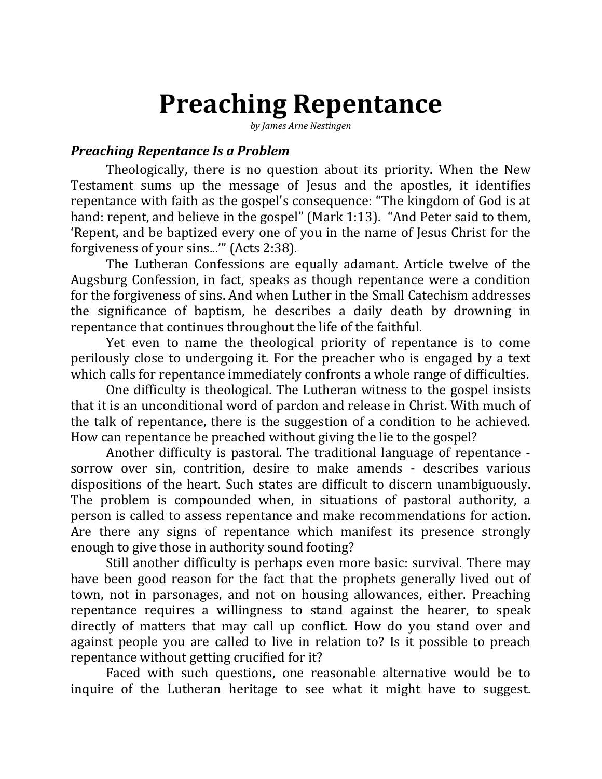# **Preaching Repentance**

*by James Arne Nestingen*

#### *Preaching Repentance Is a Problem*

Theologically, there is no question about its priority. When the New Testament sums up the message of Jesus and the apostles, it identifies repentance with faith as the gospel's consequence: "The kingdom of God is at hand: repent, and believe in the gospel" (Mark 1:13). "And Peter said to them, 'Repent, and be baptized every one of you in the name of Jesus Christ for the forgiveness of your sins..."" (Acts 2:38).

The Lutheran Confessions are equally adamant. Article twelve of the Augsburg Confession, in fact, speaks as though repentance were a condition for the forgiveness of sins. And when Luther in the Small Catechism addresses the significance of baptism, he describes a daily death by drowning in repentance that continues throughout the life of the faithful.

Yet even to name the theological priority of repentance is to come perilously close to undergoing it. For the preacher who is engaged by a text which calls for repentance immediately confronts a whole range of difficulties.

One difficulty is theological. The Lutheran witness to the gospel insists that it is an unconditional word of pardon and release in Christ. With much of the talk of repentance, there is the suggestion of a condition to he achieved. How can repentance be preached without giving the lie to the gospel?

Another difficulty is pastoral. The traditional language of repentance sorrow over sin, contrition, desire to make amends - describes various dispositions of the heart. Such states are difficult to discern unambiguously. The problem is compounded when, in situations of pastoral authority, a person is called to assess repentance and make recommendations for action. Are there any signs of repentance which manifest its presence strongly enough to give those in authority sound footing?

Still another difficulty is perhaps even more basic: survival. There may have been good reason for the fact that the prophets generally lived out of town, not in parsonages, and not on housing allowances, either. Preaching repentance requires a willingness to stand against the hearer, to speak directly of matters that may call up conflict. How do you stand over and against people you are called to live in relation to? Is it possible to preach repentance without getting crucified for it?

Faced with such questions, one reasonable alternative would be to inquire of the Lutheran heritage to see what it might have to suggest.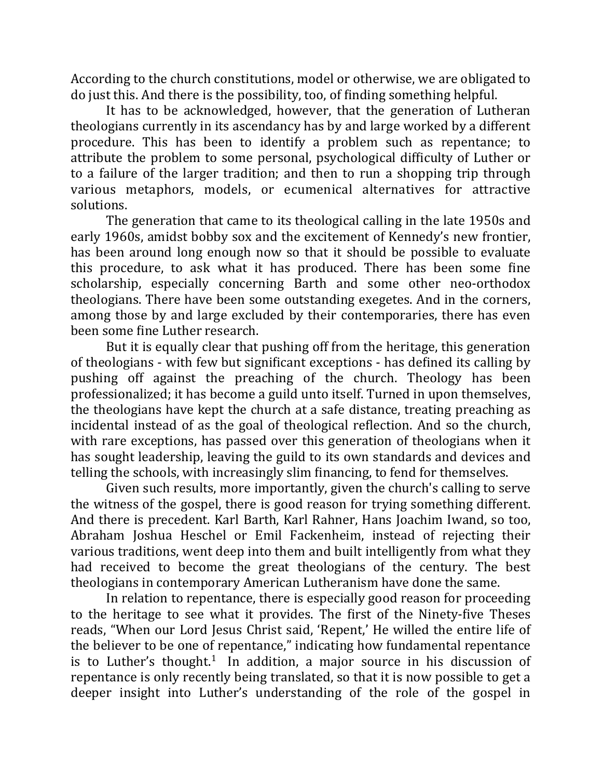According to the church constitutions, model or otherwise, we are obligated to do just this. And there is the possibility, too, of finding something helpful.

It has to be acknowledged, however, that the generation of Lutheran theologians currently in its ascendancy has by and large worked by a different procedure. This has been to identify a problem such as repentance; to attribute the problem to some personal, psychological difficulty of Luther or to a failure of the larger tradition; and then to run a shopping trip through various metaphors, models, or ecumenical alternatives for attractive solutions.

The generation that came to its theological calling in the late 1950s and early 1960s, amidst bobby sox and the excitement of Kennedy's new frontier, has been around long enough now so that it should be possible to evaluate this procedure, to ask what it has produced. There has been some fine scholarship, especially concerning Barth and some other neo-orthodox theologians. There have been some outstanding exegetes. And in the corners, among those by and large excluded by their contemporaries, there has even been some fine Luther research.

But it is equally clear that pushing off from the heritage, this generation of theologians - with few but significant exceptions - has defined its calling by pushing off against the preaching of the church. Theology has been professionalized; it has become a guild unto itself. Turned in upon themselves, the theologians have kept the church at a safe distance, treating preaching as incidental instead of as the goal of theological reflection. And so the church, with rare exceptions, has passed over this generation of theologians when it has sought leadership, leaving the guild to its own standards and devices and telling the schools, with increasingly slim financing, to fend for themselves.

Given such results, more importantly, given the church's calling to serve the witness of the gospel, there is good reason for trying something different. And there is precedent. Karl Barth, Karl Rahner, Hans Joachim Iwand, so too, Abraham Joshua Heschel or Emil Fackenheim, instead of rejecting their various traditions, went deep into them and built intelligently from what they had received to become the great theologians of the century. The best theologians in contemporary American Lutheranism have done the same.

In relation to repentance, there is especially good reason for proceeding to the heritage to see what it provides. The first of the Ninety-five Theses reads, "When our Lord Jesus Christ said, 'Repent,' He willed the entire life of the believer to be one of repentance," indicating how fundamental repentance is to Luther's thought.<sup>[1](#page-14-0)</sup> In addition, a major source in his discussion of repentance is only recently being translated, so that it is now possible to get a deeper insight into Luther's understanding of the role of the gospel in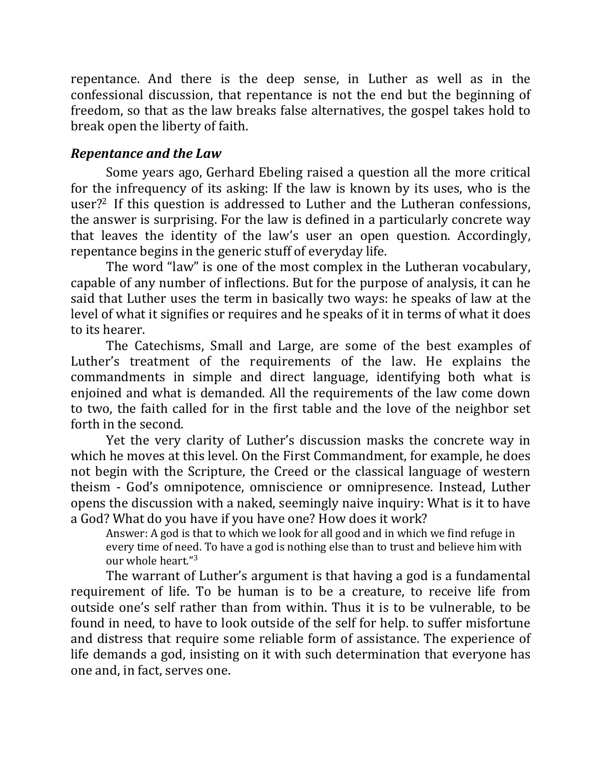repentance. And there is the deep sense, in Luther as well as in the confessional discussion, that repentance is not the end but the beginning of freedom, so that as the law breaks false alternatives, the gospel takes hold to break open the liberty of faith.

## *Repentance and the Law*

Some years ago, Gerhard Ebeling raised a question all the more critical for the infrequency of its asking: If the law is known by its uses, who is the user?<sup>2</sup> If this question is addressed to Luther and the Lutheran confessions, the answer is surprising. For the law is defined in a particularly concrete way that leaves the identity of the law's user an open question. Accordingly, repentance begins in the generic stuff of everyday life.

The word "law" is one of the most complex in the Lutheran vocabulary, capable of any number of inflections. But for the purpose of analysis, it can he said that Luther uses the term in basically two ways: he speaks of law at the level of what it signifies or requires and he speaks of it in terms of what it does to its hearer.

The Catechisms, Small and Large, are some of the best examples of Luther's treatment of the requirements of the law. He explains the commandments in simple and direct language, identifying both what is enjoined and what is demanded. All the requirements of the law come down to two, the faith called for in the first table and the love of the neighbor set forth in the second.

Yet the very clarity of Luther's discussion masks the concrete way in which he moves at this level. On the First Commandment, for example, he does not begin with the Scripture, the Creed or the classical language of western theism - God's omnipotence, omniscience or omnipresence. Instead, Luther opens the discussion with a naked, seemingly naive inquiry: What is it to have a God? What do you have if you have one? How does it work?

Answer: A god is that to which we look for all good and in which we find refuge in every time of need. To have a god is nothing else than to trust and believe him with our whole heart."<sup>[3](#page-14-2)</sup>

The warrant of Luther's argument is that having a god is a fundamental requirement of life. To be human is to be a creature, to receive life from outside one's self rather than from within. Thus it is to be vulnerable, to be found in need, to have to look outside of the self for help. to suffer misfortune and distress that require some reliable form of assistance. The experience of life demands a god, insisting on it with such determination that everyone has one and, in fact, serves one.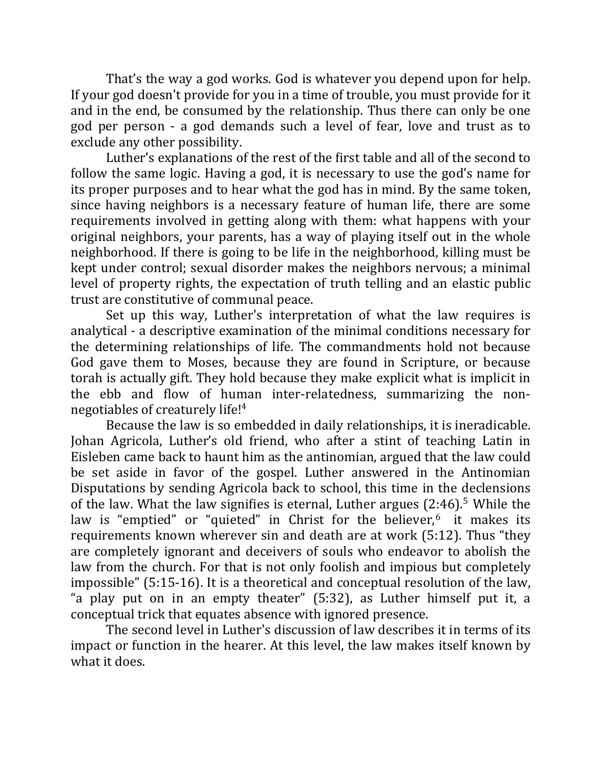That's the way a god works. God is whatever you depend upon for help. If your god doesn't provide for you in a time of trouble, you must provide for it and in the end, be consumed by the relationship. Thus there can only be one god per person - a god demands such a level of fear, love and trust as to exclude any other possibility.

Luther's explanations of the rest of the first table and all of the second to follow the same logic. Having a god, it is necessary to use the god's name for its proper purposes and to hear what the god has in mind. By the same token, since having neighbors is a necessary feature of human life, there are some requirements involved in getting along with them: what happens with your original neighbors, your parents, has a way of playing itself out in the whole neighborhood. If there is going to be life in the neighborhood, killing must be kept under control; sexual disorder makes the neighbors nervous; a minimal level of property rights, the expectation of truth telling and an elastic public trust are constitutive of communal peace.

Set up this way, Luther's interpretation of what the law requires is analytical - a descriptive examination of the minimal conditions necessary for the determining relationships of life. The commandments hold not because God gave them to Moses, because they are found in Scripture, or because torah is actually gift. They hold because they make explicit what is implicit in the ebb and flow of human inter-relatedness, summarizing the nonnegotiables of creaturely life! $4$ 

Because the law is so embedded in daily relationships, it is ineradicable. Johan Agricola, Luther's old friend, who after a stint of teaching Latin in Eisleben came back to haunt him as the antinomian, argued that the law could be set aside in favor of the gospel. Luther answered in the Antinomian Disputations by sending Agricola back to school, this time in the declensions of the law. What the law signifies is eternal, Luther argues  $(2:46)$ .<sup>5</sup> While the law is "emptied" or "quieted" in Christ for the believer, $6$  it makes its requirements known wherever sin and death are at work  $(5:12)$ . Thus "they are completely ignorant and deceivers of souls who endeavor to abolish the law from the church. For that is not only foolish and impious but completely impossible"  $(5:15-16)$ . It is a theoretical and conceptual resolution of the law, "a play put on in an empty theater"  $(5:32)$ , as Luther himself put it, a conceptual trick that equates absence with ignored presence.

The second level in Luther's discussion of law describes it in terms of its impact or function in the hearer. At this level, the law makes itself known by what it does.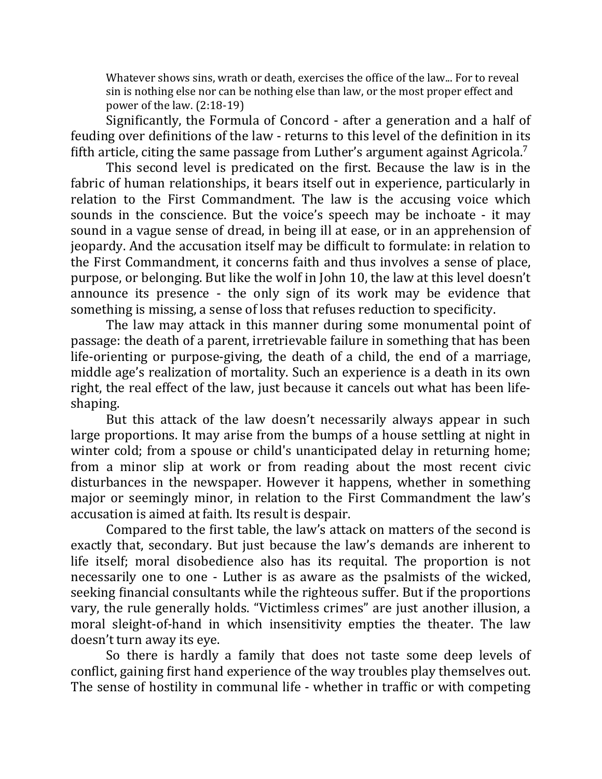Whatever shows sins, wrath or death, exercises the office of the law... For to reveal sin is nothing else nor can be nothing else than law, or the most proper effect and power of the law.  $(2:18-19)$ 

Significantly, the Formula of Concord  $-$  after a generation and a half of feuding over definitions of the law - returns to this level of the definition in its fifth article, citing the same passage from Luther's argument against Agricola.<sup>7</sup>

This second level is predicated on the first. Because the law is in the fabric of human relationships, it bears itself out in experience, particularly in relation to the First Commandment. The law is the accusing voice which sounds in the conscience. But the voice's speech may be inchoate - it may sound in a vague sense of dread, in being ill at ease, or in an apprehension of jeopardy. And the accusation itself may be difficult to formulate: in relation to the First Commandment, it concerns faith and thus involves a sense of place, purpose, or belonging. But like the wolf in John 10, the law at this level doesn't announce its presence - the only sign of its work may be evidence that something is missing, a sense of loss that refuses reduction to specificity.

The law may attack in this manner during some monumental point of passage: the death of a parent, irretrievable failure in something that has been life-orienting or purpose-giving, the death of a child, the end of a marriage, middle age's realization of mortality. Such an experience is a death in its own right, the real effect of the law, just because it cancels out what has been lifeshaping.

But this attack of the law doesn't necessarily always appear in such large proportions. It may arise from the bumps of a house settling at night in winter cold; from a spouse or child's unanticipated delay in returning home; from a minor slip at work or from reading about the most recent civic disturbances in the newspaper. However it happens, whether in something major or seemingly minor, in relation to the First Commandment the law's accusation is aimed at faith. Its result is despair.

Compared to the first table, the law's attack on matters of the second is exactly that, secondary. But just because the law's demands are inherent to life itself; moral disobedience also has its requital. The proportion is not necessarily one to one - Luther is as aware as the psalmists of the wicked, seeking financial consultants while the righteous suffer. But if the proportions vary, the rule generally holds. "Victimless crimes" are just another illusion, a moral sleight-of-hand in which insensitivity empties the theater. The law doesn't turn away its eye.

So there is hardly a family that does not taste some deep levels of conflict, gaining first hand experience of the way troubles play themselves out. The sense of hostility in communal life - whether in traffic or with competing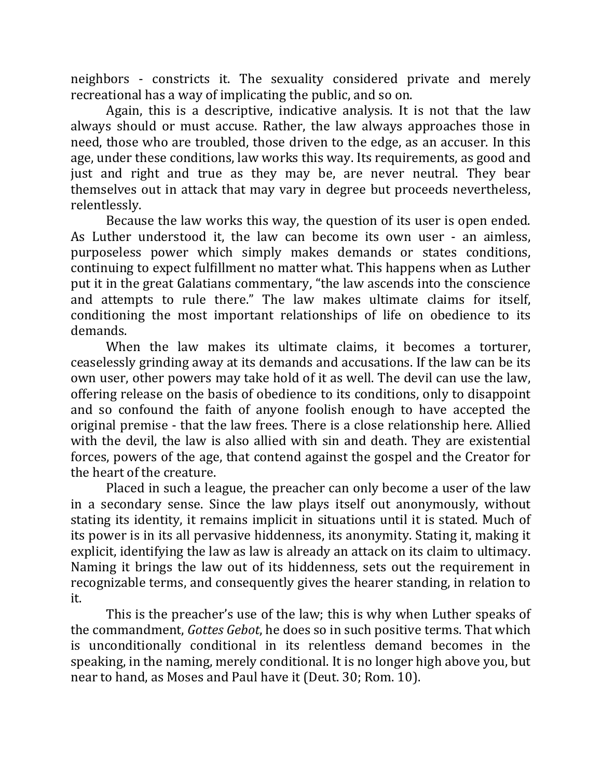neighbors - constricts it. The sexuality considered private and merely recreational has a way of implicating the public, and so on.

Again, this is a descriptive, indicative analysis. It is not that the law always should or must accuse. Rather, the law always approaches those in need, those who are troubled, those driven to the edge, as an accuser. In this age, under these conditions, law works this way. Its requirements, as good and just and right and true as they may be, are never neutral. They bear themselves out in attack that may vary in degree but proceeds nevertheless, relentlessly.

Because the law works this way, the question of its user is open ended. As Luther understood it, the law can become its own user - an aimless, purposeless power which simply makes demands or states conditions, continuing to expect fulfillment no matter what. This happens when as Luther put it in the great Galatians commentary, "the law ascends into the conscience and attempts to rule there." The law makes ultimate claims for itself, conditioning the most important relationships of life on obedience to its demands.

When the law makes its ultimate claims, it becomes a torturer, ceaselessly grinding away at its demands and accusations. If the law can be its own user, other powers may take hold of it as well. The devil can use the law, offering release on the basis of obedience to its conditions, only to disappoint and so confound the faith of anyone foolish enough to have accepted the original premise - that the law frees. There is a close relationship here. Allied with the devil, the law is also allied with sin and death. They are existential forces, powers of the age, that contend against the gospel and the Creator for the heart of the creature.

Placed in such a league, the preacher can only become a user of the law in a secondary sense. Since the law plays itself out anonymously, without stating its identity, it remains implicit in situations until it is stated. Much of its power is in its all pervasive hiddenness, its anonymity. Stating it, making it explicit, identifying the law as law is already an attack on its claim to ultimacy. Naming it brings the law out of its hiddenness, sets out the requirement in recognizable terms, and consequently gives the hearer standing, in relation to it.

This is the preacher's use of the law; this is why when Luther speaks of the commandment, *Gottes Gebot*, he does so in such positive terms. That which is unconditionally conditional in its relentless demand becomes in the speaking, in the naming, merely conditional. It is no longer high above you, but near to hand, as Moses and Paul have it (Deut. 30; Rom. 10).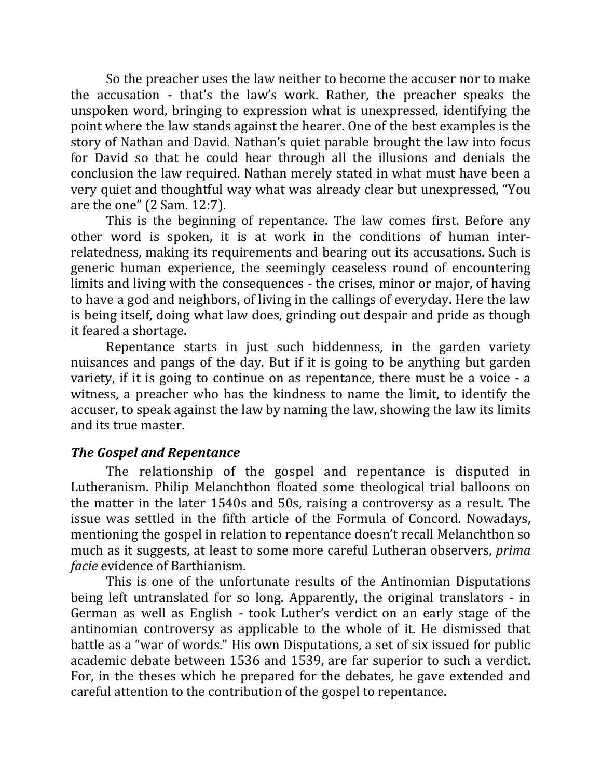So the preacher uses the law neither to become the accuser nor to make the accusation - that's the law's work. Rather, the preacher speaks the unspoken word, bringing to expression what is unexpressed, identifying the point where the law stands against the hearer. One of the best examples is the story of Nathan and David. Nathan's quiet parable brought the law into focus for David so that he could hear through all the illusions and denials the conclusion the law required. Nathan merely stated in what must have been a very quiet and thoughtful way what was already clear but unexpressed, "You are the one"  $(2 Sam. 12:7)$ .

This is the beginning of repentance. The law comes first. Before any other word is spoken, it is at work in the conditions of human interrelatedness, making its requirements and bearing out its accusations. Such is generic human experience, the seemingly ceaseless round of encountering limits and living with the consequences - the crises, minor or major, of having to have a god and neighbors, of living in the callings of everyday. Here the law is being itself, doing what law does, grinding out despair and pride as though it feared a shortage.

Repentance starts in just such hiddenness, in the garden variety nuisances and pangs of the day. But if it is going to be anything but garden variety, if it is going to continue on as repentance, there must be a voice  $-$  a witness, a preacher who has the kindness to name the limit, to identify the accuser, to speak against the law by naming the law, showing the law its limits and its true master.

### *The Gospel and Repentance*

The relationship of the gospel and repentance is disputed in Lutheranism. Philip Melanchthon floated some theological trial balloons on the matter in the later 1540s and 50s, raising a controversy as a result. The issue was settled in the fifth article of the Formula of Concord. Nowadays, mentioning the gospel in relation to repentance doesn't recall Melanchthon so much as it suggests, at least to some more careful Lutheran observers, *prima facie* evidence of Barthianism.

This is one of the unfortunate results of the Antinomian Disputations being left untranslated for so long. Apparently, the original translators - in German as well as English - took Luther's verdict on an early stage of the antinomian controversy as applicable to the whole of it. He dismissed that battle as a "war of words." His own Disputations, a set of six issued for public academic debate between 1536 and 1539, are far superior to such a verdict. For, in the theses which he prepared for the debates, he gave extended and careful attention to the contribution of the gospel to repentance.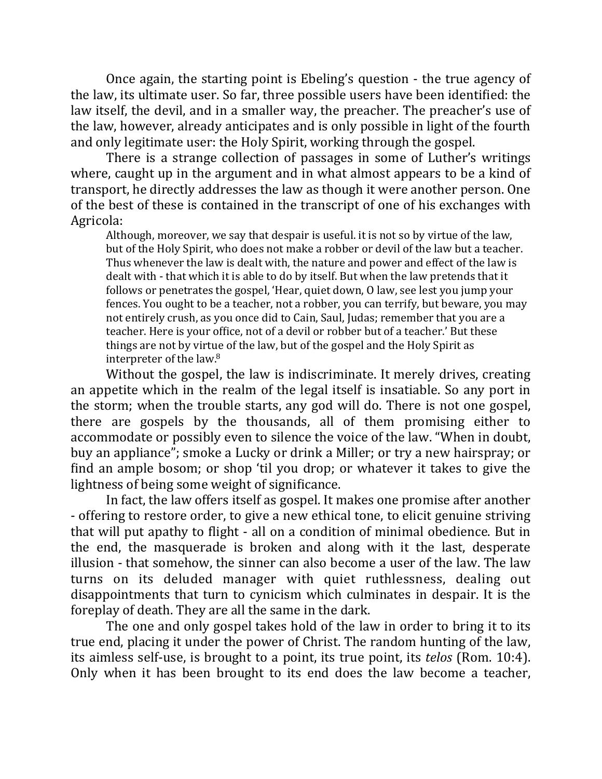Once again, the starting point is Ebeling's question - the true agency of the law, its ultimate user. So far, three possible users have been identified: the law itself, the devil, and in a smaller way, the preacher. The preacher's use of the law, however, already anticipates and is only possible in light of the fourth and only legitimate user: the Holy Spirit, working through the gospel.

There is a strange collection of passages in some of Luther's writings where, caught up in the argument and in what almost appears to be a kind of transport, he directly addresses the law as though it were another person. One of the best of these is contained in the transcript of one of his exchanges with Agricola:

Although, moreover, we say that despair is useful, it is not so by virtue of the law, but of the Holy Spirit, who does not make a robber or devil of the law but a teacher. Thus whenever the law is dealt with, the nature and power and effect of the law is dealt with - that which it is able to do by itself. But when the law pretends that it follows or penetrates the gospel, 'Hear, quiet down, O law, see lest you jump your fences. You ought to be a teacher, not a robber, you can terrify, but beware, you may not entirely crush, as you once did to Cain, Saul, Judas; remember that you are a teacher. Here is your office, not of a devil or robber but of a teacher.' But these things are not by virtue of the law, but of the gospel and the Holy Spirit as interpreter of the law. $8$ 

Without the gospel, the law is indiscriminate. It merely drives, creating an appetite which in the realm of the legal itself is insatiable. So any port in the storm; when the trouble starts, any god will do. There is not one gospel, there are gospels by the thousands, all of them promising either to accommodate or possibly even to silence the voice of the law. "When in doubt, buy an appliance"; smoke a Lucky or drink a Miller; or try a new hairspray; or find an ample bosom; or shop 'til you drop; or whatever it takes to give the lightness of being some weight of significance.

In fact, the law offers itself as gospel. It makes one promise after another - offering to restore order, to give a new ethical tone, to elicit genuine striving that will put apathy to flight - all on a condition of minimal obedience. But in the end, the masquerade is broken and along with it the last, desperate illusion - that somehow, the sinner can also become a user of the law. The law turns on its deluded manager with quiet ruthlessness, dealing out disappointments that turn to cynicism which culminates in despair. It is the foreplay of death. They are all the same in the dark.

The one and only gospel takes hold of the law in order to bring it to its true end, placing it under the power of Christ. The random hunting of the law, its aimless self-use, is brought to a point, its true point, its *telos* (Rom. 10:4). Only when it has been brought to its end does the law become a teacher,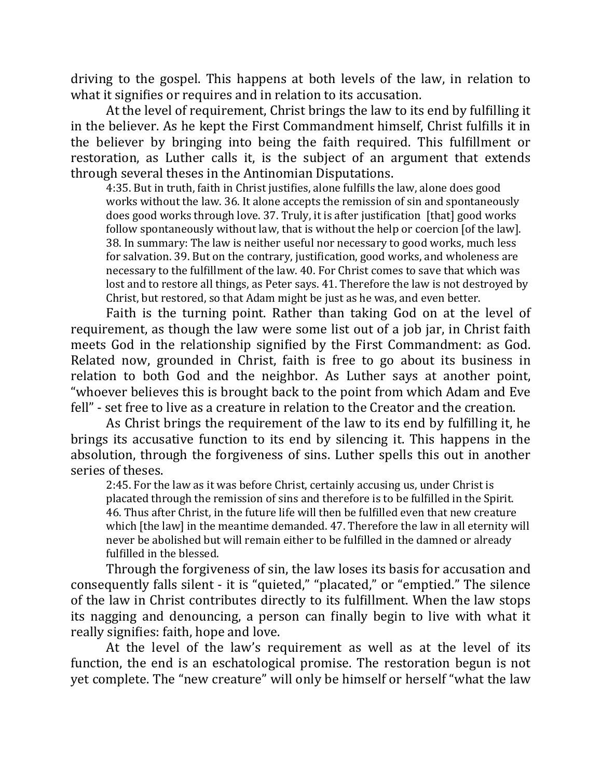driving to the gospel. This happens at both levels of the law, in relation to what it signifies or requires and in relation to its accusation.

At the level of requirement, Christ brings the law to its end by fulfilling it in the believer. As he kept the First Commandment himself, Christ fulfills it in the believer by bringing into being the faith required. This fulfillment or restoration, as Luther calls it, is the subject of an argument that extends through several theses in the Antinomian Disputations.

4:35. But in truth, faith in Christ justifies, alone fulfills the law, alone does good works without the law. 36. It alone accepts the remission of sin and spontaneously does good works through love. 37. Truly, it is after justification [that] good works follow spontaneously without law, that is without the help or coercion [of the law]. 38. In summary: The law is neither useful nor necessary to good works, much less for salvation. 39. But on the contrary, justification, good works, and wholeness are necessary to the fulfillment of the law. 40. For Christ comes to save that which was lost and to restore all things, as Peter says. 41. Therefore the law is not destroyed by Christ, but restored, so that Adam might be just as he was, and even better.

Faith is the turning point. Rather than taking God on at the level of requirement, as though the law were some list out of a job jar, in Christ faith meets God in the relationship signified by the First Commandment: as God. Related now, grounded in Christ, faith is free to go about its business in relation to both God and the neighbor. As Luther says at another point, "whoever believes this is brought back to the point from which Adam and Eve fell" - set free to live as a creature in relation to the Creator and the creation.

As Christ brings the requirement of the law to its end by fulfilling it, he brings its accusative function to its end by silencing it. This happens in the absolution, through the forgiveness of sins. Luther spells this out in another series of theses.

2:45. For the law as it was before Christ, certainly accusing us, under Christ is placated through the remission of sins and therefore is to be fulfilled in the Spirit. 46. Thus after Christ, in the future life will then be fulfilled even that new creature which [the law] in the meantime demanded. 47. Therefore the law in all eternity will never be abolished but will remain either to be fulfilled in the damned or already fulfilled in the blessed.

Through the forgiveness of sin, the law loses its basis for accusation and consequently falls silent - it is "quieted," "placated," or "emptied." The silence of the law in Christ contributes directly to its fulfillment. When the law stops its nagging and denouncing, a person can finally begin to live with what it really signifies: faith, hope and love.

At the level of the law's requirement as well as at the level of its function, the end is an eschatological promise. The restoration begun is not yet complete. The "new creature" will only be himself or herself "what the law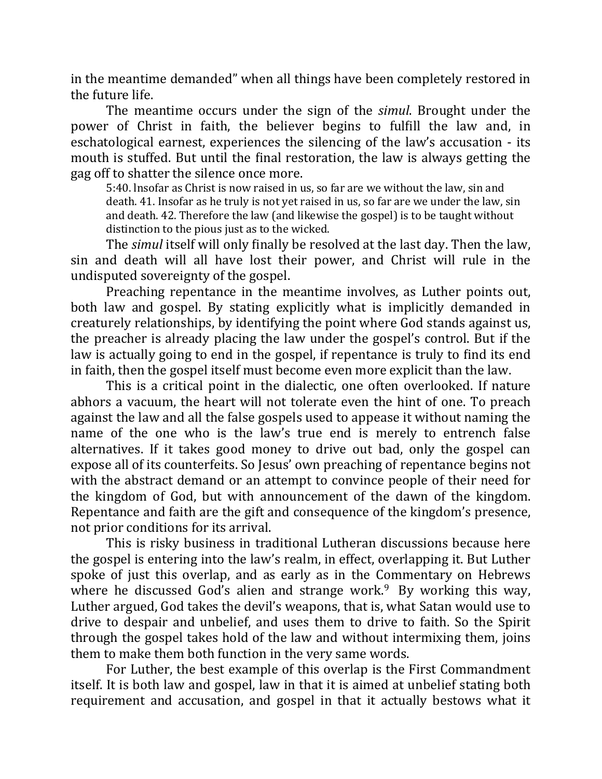in the meantime demanded" when all things have been completely restored in the future life.

The meantime occurs under the sign of the *simul*. Brought under the power of Christ in faith, the believer begins to fulfill the law and, in eschatological earnest, experiences the silencing of the law's accusation - its mouth is stuffed. But until the final restoration, the law is always getting the gag off to shatter the silence once more.

5:40. Insofar as Christ is now raised in us, so far are we without the law, sin and death. 41. Insofar as he truly is not vet raised in us, so far are we under the law, sin and death. 42. Therefore the law (and likewise the gospel) is to be taught without distinction to the pious just as to the wicked.

The *simul* itself will only finally be resolved at the last day. Then the law, sin and death will all have lost their power, and Christ will rule in the undisputed sovereignty of the gospel.

Preaching repentance in the meantime involves, as Luther points out, both law and gospel. By stating explicitly what is implicitly demanded in creaturely relationships, by identifying the point where God stands against us, the preacher is already placing the law under the gospel's control. But if the law is actually going to end in the gospel, if repentance is truly to find its end in faith, then the gospel itself must become even more explicit than the law.

This is a critical point in the dialectic, one often overlooked. If nature abhors a vacuum, the heart will not tolerate even the hint of one. To preach against the law and all the false gospels used to appease it without naming the name of the one who is the law's true end is merely to entrench false alternatives. If it takes good money to drive out bad, only the gospel can expose all of its counterfeits. So Jesus' own preaching of repentance begins not with the abstract demand or an attempt to convince people of their need for the kingdom of God, but with announcement of the dawn of the kingdom. Repentance and faith are the gift and consequence of the kingdom's presence, not prior conditions for its arrival.

This is risky business in traditional Lutheran discussions because here the gospel is entering into the law's realm, in effect, overlapping it. But Luther spoke of just this overlap, and as early as in the Commentary on Hebrews where he discussed God's alien and strange work.<sup>[9](#page-14-8)</sup> By working this way, Luther argued, God takes the devil's weapons, that is, what Satan would use to drive to despair and unbelief, and uses them to drive to faith. So the Spirit through the gospel takes hold of the law and without intermixing them, joins them to make them both function in the very same words.

For Luther, the best example of this overlap is the First Commandment itself. It is both law and gospel, law in that it is aimed at unbelief stating both requirement and accusation, and gospel in that it actually bestows what it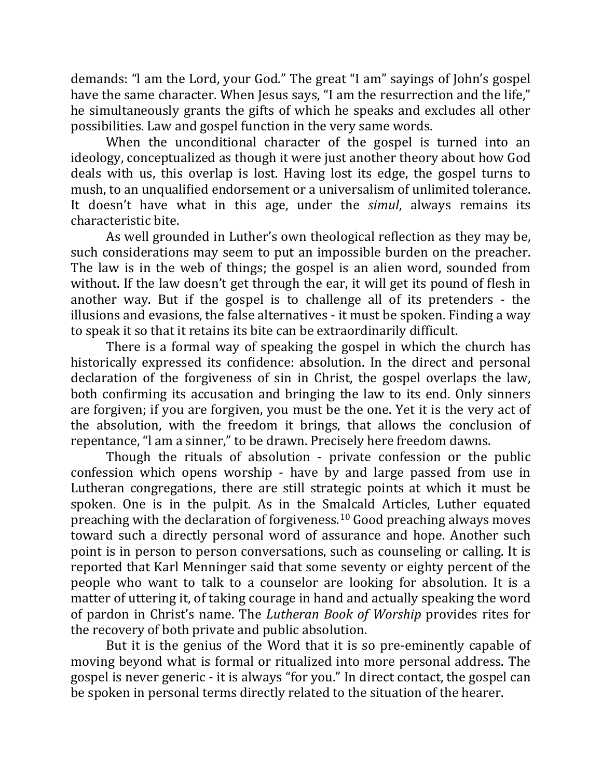demands: "I am the Lord, your God." The great "I am" sayings of John's gospel have the same character. When Jesus says, "I am the resurrection and the life," he simultaneously grants the gifts of which he speaks and excludes all other possibilities. Law and gospel function in the very same words.

When the unconditional character of the gospel is turned into an ideology, conceptualized as though it were just another theory about how God deals with us, this overlap is lost. Having lost its edge, the gospel turns to mush, to an unqualified endorsement or a universalism of unlimited tolerance. It doesn't have what in this age, under the *simul*, always remains its characteristic bite.

As well grounded in Luther's own theological reflection as they may be, such considerations may seem to put an impossible burden on the preacher. The law is in the web of things; the gospel is an alien word, sounded from without. If the law doesn't get through the ear, it will get its pound of flesh in another way. But if the gospel is to challenge all of its pretenders - the illusions and evasions, the false alternatives - it must be spoken. Finding a way to speak it so that it retains its bite can be extraordinarily difficult.

There is a formal way of speaking the gospel in which the church has historically expressed its confidence: absolution. In the direct and personal declaration of the forgiveness of sin in Christ, the gospel overlaps the law, both confirming its accusation and bringing the law to its end. Only sinners are forgiven; if you are forgiven, you must be the one. Yet it is the very act of the absolution, with the freedom it brings, that allows the conclusion of repentance, "I am a sinner," to be drawn. Precisely here freedom dawns.

Though the rituals of absolution - private confession or the public confession which opens worship - have by and large passed from use in Lutheran congregations, there are still strategic points at which it must be spoken. One is in the pulpit. As in the Smalcald Articles, Luther equated preaching with the declaration of forgiveness.<sup>[10](#page-14-9)</sup> Good preaching always moves toward such a directly personal word of assurance and hope. Another such point is in person to person conversations, such as counseling or calling. It is reported that Karl Menninger said that some seventy or eighty percent of the people who want to talk to a counselor are looking for absolution. It is a matter of uttering it, of taking courage in hand and actually speaking the word of pardon in Christ's name. The *Lutheran Book of Worship* provides rites for the recovery of both private and public absolution.

But it is the genius of the Word that it is so pre-eminently capable of moving beyond what is formal or ritualized into more personal address. The gospel is never generic - it is always "for you." In direct contact, the gospel can be spoken in personal terms directly related to the situation of the hearer.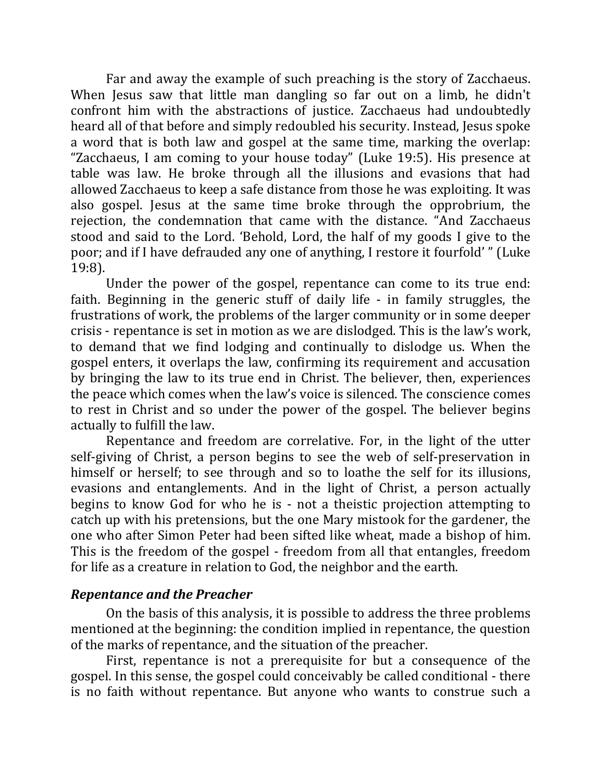Far and away the example of such preaching is the story of Zacchaeus. When Jesus saw that little man dangling so far out on a limb, he didn't confront him with the abstractions of justice. Zacchaeus had undoubtedly heard all of that before and simply redoubled his security. Instead, Jesus spoke a word that is both law and gospel at the same time, marking the overlap: "Zacchaeus, I am coming to your house today" (Luke 19:5). His presence at table was law. He broke through all the illusions and evasions that had allowed Zacchaeus to keep a safe distance from those he was exploiting. It was also gospel. Jesus at the same time broke through the opprobrium, the rejection, the condemnation that came with the distance. "And Zacchaeus stood and said to the Lord. 'Behold, Lord, the half of my goods I give to the poor; and if I have defrauded any one of anything, I restore it fourfold' " (Luke 19:8).

Under the power of the gospel, repentance can come to its true end: faith. Beginning in the generic stuff of daily life - in family struggles, the frustrations of work, the problems of the larger community or in some deeper crisis - repentance is set in motion as we are dislodged. This is the law's work, to demand that we find lodging and continually to dislodge us. When the gospel enters, it overlaps the law, confirming its requirement and accusation by bringing the law to its true end in Christ. The believer, then, experiences the peace which comes when the law's voice is silenced. The conscience comes to rest in Christ and so under the power of the gospel. The believer begins actually to fulfill the law.

Repentance and freedom are correlative. For, in the light of the utter self-giving of Christ, a person begins to see the web of self-preservation in himself or herself; to see through and so to loathe the self for its illusions, evasions and entanglements. And in the light of Christ, a person actually begins to know God for who he is - not a theistic projection attempting to catch up with his pretensions, but the one Mary mistook for the gardener, the one who after Simon Peter had been sifted like wheat, made a bishop of him. This is the freedom of the gospel - freedom from all that entangles, freedom for life as a creature in relation to God, the neighbor and the earth.

#### *Repentance and the Preacher*

On the basis of this analysis, it is possible to address the three problems mentioned at the beginning: the condition implied in repentance, the question of the marks of repentance, and the situation of the preacher.

First, repentance is not a prerequisite for but a consequence of the gospel. In this sense, the gospel could conceivably be called conditional - there is no faith without repentance. But anyone who wants to construe such a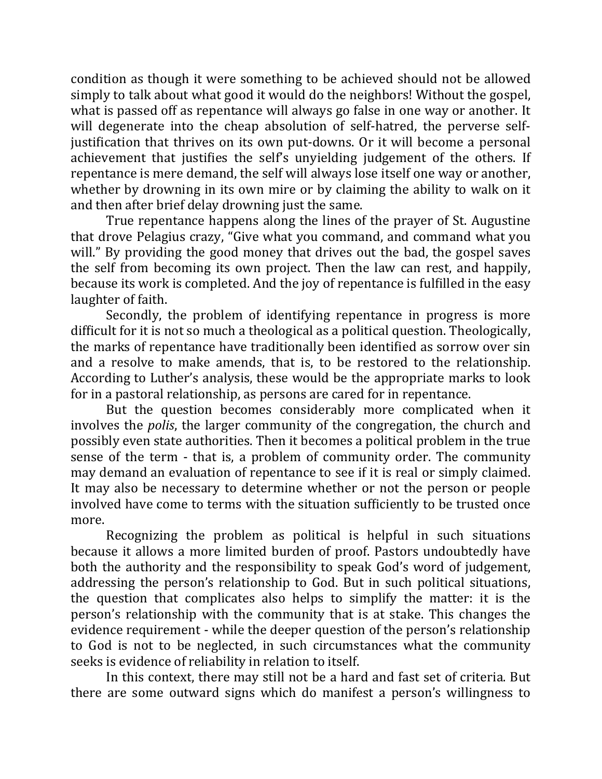condition as though it were something to be achieved should not be allowed simply to talk about what good it would do the neighbors! Without the gospel, what is passed off as repentance will always go false in one way or another. It will degenerate into the cheap absolution of self-hatred, the perverse selfjustification that thrives on its own put-downs. Or it will become a personal achievement that justifies the self's unyielding judgement of the others. If repentance is mere demand, the self will always lose itself one way or another, whether by drowning in its own mire or by claiming the ability to walk on it and then after brief delay drowning just the same.

True repentance happens along the lines of the prayer of St. Augustine that drove Pelagius crazy, "Give what you command, and command what you will." By providing the good money that drives out the bad, the gospel saves the self from becoming its own project. Then the law can rest, and happily, because its work is completed. And the joy of repentance is fulfilled in the easy laughter of faith.

Secondly, the problem of identifying repentance in progress is more difficult for it is not so much a theological as a political question. Theologically, the marks of repentance have traditionally been identified as sorrow over sin and a resolve to make amends, that is, to be restored to the relationship. According to Luther's analysis, these would be the appropriate marks to look for in a pastoral relationship, as persons are cared for in repentance.

But the question becomes considerably more complicated when it involves the *polis*, the larger community of the congregation, the church and possibly even state authorities. Then it becomes a political problem in the true sense of the term - that is, a problem of community order. The community may demand an evaluation of repentance to see if it is real or simply claimed. It may also be necessary to determine whether or not the person or people involved have come to terms with the situation sufficiently to be trusted once more.

Recognizing the problem as political is helpful in such situations because it allows a more limited burden of proof. Pastors undoubtedly have both the authority and the responsibility to speak God's word of judgement, addressing the person's relationship to God. But in such political situations, the question that complicates also helps to simplify the matter: it is the person's relationship with the community that is at stake. This changes the evidence requirement - while the deeper question of the person's relationship to God is not to be neglected, in such circumstances what the community seeks is evidence of reliability in relation to itself.

In this context, there may still not be a hard and fast set of criteria. But there are some outward signs which do manifest a person's willingness to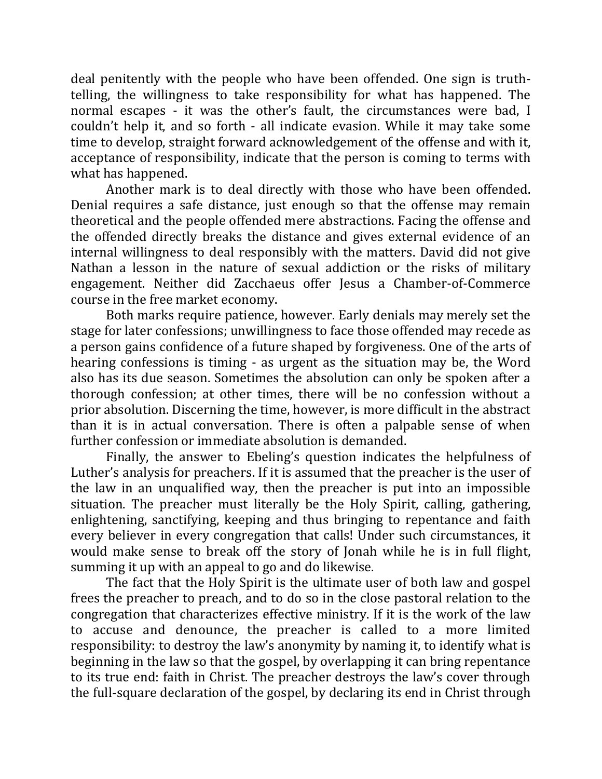deal penitently with the people who have been offended. One sign is truthtelling, the willingness to take responsibility for what has happened. The normal escapes - it was the other's fault, the circumstances were bad, I couldn't help it, and so forth - all indicate evasion. While it may take some time to develop, straight forward acknowledgement of the offense and with it, acceptance of responsibility, indicate that the person is coming to terms with what has happened.

Another mark is to deal directly with those who have been offended. Denial requires a safe distance, just enough so that the offense may remain theoretical and the people offended mere abstractions. Facing the offense and the offended directly breaks the distance and gives external evidence of an internal willingness to deal responsibly with the matters. David did not give Nathan a lesson in the nature of sexual addiction or the risks of military engagement. Neither did Zacchaeus offer Jesus a Chamber-of-Commerce course in the free market economy.

Both marks require patience, however. Early denials may merely set the stage for later confessions; unwillingness to face those offended may recede as a person gains confidence of a future shaped by forgiveness. One of the arts of hearing confessions is timing - as urgent as the situation may be, the Word also has its due season. Sometimes the absolution can only be spoken after a thorough confession; at other times, there will be no confession without a prior absolution. Discerning the time, however, is more difficult in the abstract than it is in actual conversation. There is often a palpable sense of when further confession or immediate absolution is demanded.

Finally, the answer to Ebeling's question indicates the helpfulness of Luther's analysis for preachers. If it is assumed that the preacher is the user of the law in an unqualified way, then the preacher is put into an impossible situation. The preacher must literally be the Holy Spirit, calling, gathering, enlightening, sanctifying, keeping and thus bringing to repentance and faith every believer in every congregation that calls! Under such circumstances, it would make sense to break off the story of Jonah while he is in full flight, summing it up with an appeal to go and do likewise.

The fact that the Holy Spirit is the ultimate user of both law and gospel frees the preacher to preach, and to do so in the close pastoral relation to the congregation that characterizes effective ministry. If it is the work of the law to accuse and denounce, the preacher is called to a more limited responsibility: to destroy the law's anonymity by naming it, to identify what is beginning in the law so that the gospel, by overlapping it can bring repentance to its true end: faith in Christ. The preacher destroys the law's cover through the full-square declaration of the gospel, by declaring its end in Christ through